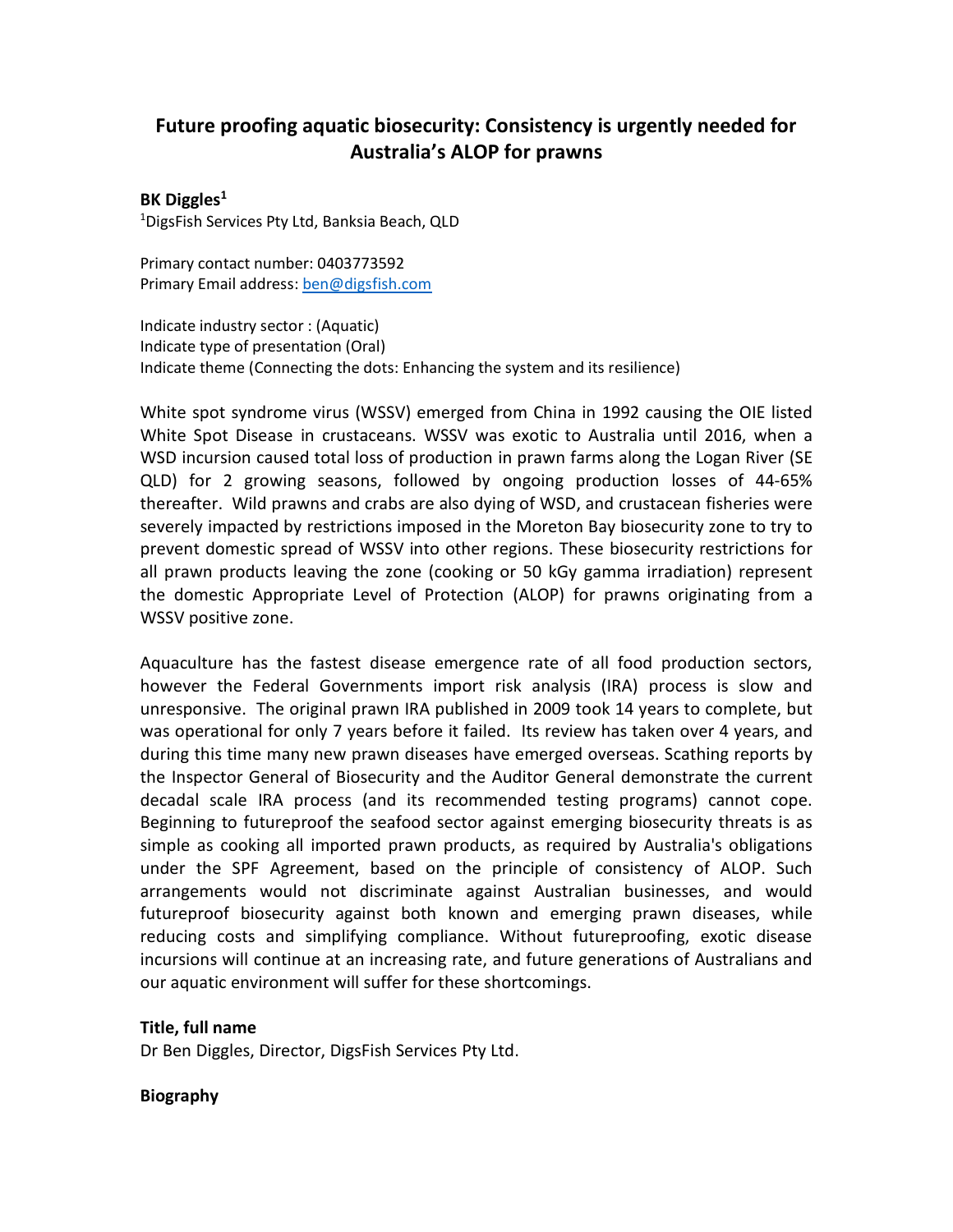## **Future proofing aquatic biosecurity: Consistency is urgently needed for Australia's ALOP for prawns**

## **BK Diggles<sup>1</sup>**

<sup>1</sup>DigsFish Services Pty Ltd, Banksia Beach, QLD

Primary contact number: 0403773592 Primary Email address: [ben@digsfish.com](mailto:ben@digsfish.com)

Indicate industry sector : (Aquatic) Indicate type of presentation (Oral) Indicate theme (Connecting the dots: Enhancing the system and its resilience)

White spot syndrome virus (WSSV) emerged from China in 1992 causing the OIE listed White Spot Disease in crustaceans. WSSV was exotic to Australia until 2016, when a WSD incursion caused total loss of production in prawn farms along the Logan River (SE QLD) for 2 growing seasons, followed by ongoing production losses of 44-65% thereafter. Wild prawns and crabs are also dying of WSD, and crustacean fisheries were severely impacted by restrictions imposed in the Moreton Bay biosecurity zone to try to prevent domestic spread of WSSV into other regions. These biosecurity restrictions for all prawn products leaving the zone (cooking or 50 kGy gamma irradiation) represent the domestic Appropriate Level of Protection (ALOP) for prawns originating from a WSSV positive zone.

Aquaculture has the fastest disease emergence rate of all food production sectors, however the Federal Governments import risk analysis (IRA) process is slow and unresponsive. The original prawn IRA published in 2009 took 14 years to complete, but was operational for only 7 years before it failed. Its review has taken over 4 years, and during this time many new prawn diseases have emerged overseas. Scathing reports by the Inspector General of Biosecurity and the Auditor General demonstrate the current decadal scale IRA process (and its recommended testing programs) cannot cope. Beginning to futureproof the seafood sector against emerging biosecurity threats is as simple as cooking all imported prawn products, as required by Australia's obligations under the SPF Agreement, based on the principle of consistency of ALOP. Such arrangements would not discriminate against Australian businesses, and would futureproof biosecurity against both known and emerging prawn diseases, while reducing costs and simplifying compliance. Without futureproofing, exotic disease incursions will continue at an increasing rate, and future generations of Australians and our aquatic environment will suffer for these shortcomings.

## **Title, full name**

Dr Ben Diggles, Director, DigsFish Services Pty Ltd.

## **Biography**